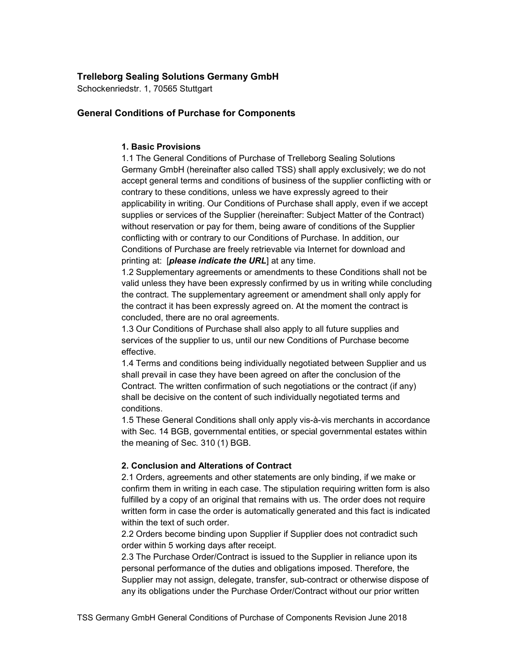# Trelleborg Sealing Solutions Germany GmbH

Schockenriedstr. 1, 70565 Stuttgart

# General Conditions of Purchase for Components

## 1. Basic Provisions

1.1 The General Conditions of Purchase of Trelleborg Sealing Solutions Germany GmbH (hereinafter also called TSS) shall apply exclusively; we do not accept general terms and conditions of business of the supplier conflicting with or contrary to these conditions, unless we have expressly agreed to their applicability in writing. Our Conditions of Purchase shall apply, even if we accept supplies or services of the Supplier (hereinafter: Subject Matter of the Contract) without reservation or pay for them, being aware of conditions of the Supplier conflicting with or contrary to our Conditions of Purchase. In addition, our Conditions of Purchase are freely retrievable via Internet for download and printing at: [*please indicate the URL*] at any time.

1.2 Supplementary agreements or amendments to these Conditions shall not be valid unless they have been expressly confirmed by us in writing while concluding the contract. The supplementary agreement or amendment shall only apply for the contract it has been expressly agreed on. At the moment the contract is concluded, there are no oral agreements.

1.3 Our Conditions of Purchase shall also apply to all future supplies and services of the supplier to us, until our new Conditions of Purchase become effective.

1.4 Terms and conditions being individually negotiated between Supplier and us shall prevail in case they have been agreed on after the conclusion of the Contract. The written confirmation of such negotiations or the contract (if any) shall be decisive on the content of such individually negotiated terms and conditions.

1.5 These General Conditions shall only apply vis-à-vis merchants in accordance with Sec. 14 BGB, governmental entities, or special governmental estates within the meaning of Sec. 310 (1) BGB.

# 2. Conclusion and Alterations of Contract

2.1 Orders, agreements and other statements are only binding, if we make or confirm them in writing in each case. The stipulation requiring written form is also fulfilled by a copy of an original that remains with us. The order does not require written form in case the order is automatically generated and this fact is indicated within the text of such order.

2.2 Orders become binding upon Supplier if Supplier does not contradict such order within 5 working days after receipt.

2.3 The Purchase Order/Contract is issued to the Supplier in reliance upon its personal performance of the duties and obligations imposed. Therefore, the Supplier may not assign, delegate, transfer, sub-contract or otherwise dispose of any its obligations under the Purchase Order/Contract without our prior written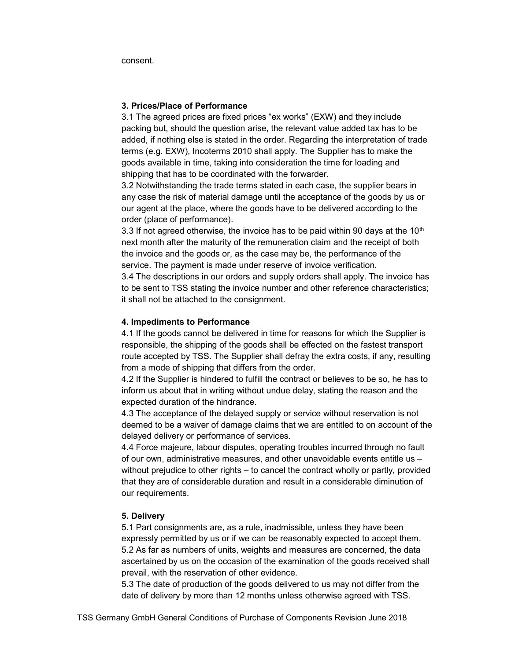consent.

### 3. Prices/Place of Performance

3.1 The agreed prices are fixed prices "ex works" (EXW) and they include packing but, should the question arise, the relevant value added tax has to be added, if nothing else is stated in the order. Regarding the interpretation of trade terms (e.g. EXW), Incoterms 2010 shall apply. The Supplier has to make the goods available in time, taking into consideration the time for loading and shipping that has to be coordinated with the forwarder.

3.2 Notwithstanding the trade terms stated in each case, the supplier bears in any case the risk of material damage until the acceptance of the goods by us or our agent at the place, where the goods have to be delivered according to the order (place of performance).

3.3 If not agreed otherwise, the invoice has to be paid within 90 days at the  $10<sup>th</sup>$ next month after the maturity of the remuneration claim and the receipt of both the invoice and the goods or, as the case may be, the performance of the service. The payment is made under reserve of invoice verification.

3.4 The descriptions in our orders and supply orders shall apply. The invoice has to be sent to TSS stating the invoice number and other reference characteristics; it shall not be attached to the consignment.

### 4. Impediments to Performance

4.1 If the goods cannot be delivered in time for reasons for which the Supplier is responsible, the shipping of the goods shall be effected on the fastest transport route accepted by TSS. The Supplier shall defray the extra costs, if any, resulting from a mode of shipping that differs from the order.

4.2 If the Supplier is hindered to fulfill the contract or believes to be so, he has to inform us about that in writing without undue delay, stating the reason and the expected duration of the hindrance.

4.3 The acceptance of the delayed supply or service without reservation is not deemed to be a waiver of damage claims that we are entitled to on account of the delayed delivery or performance of services.

4.4 Force majeure, labour disputes, operating troubles incurred through no fault of our own, administrative measures, and other unavoidable events entitle us – without prejudice to other rights – to cancel the contract wholly or partly, provided that they are of considerable duration and result in a considerable diminution of our requirements.

### 5. Delivery

5.1 Part consignments are, as a rule, inadmissible, unless they have been expressly permitted by us or if we can be reasonably expected to accept them. 5.2 As far as numbers of units, weights and measures are concerned, the data ascertained by us on the occasion of the examination of the goods received shall prevail, with the reservation of other evidence.

5.3 The date of production of the goods delivered to us may not differ from the date of delivery by more than 12 months unless otherwise agreed with TSS.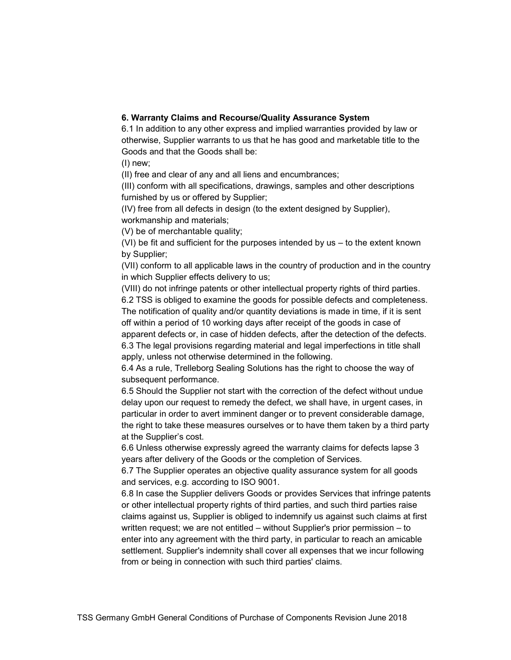# 6. Warranty Claims and Recourse/Quality Assurance System

6.1 In addition to any other express and implied warranties provided by law or otherwise, Supplier warrants to us that he has good and marketable title to the Goods and that the Goods shall be:

(I) new;

(II) free and clear of any and all liens and encumbrances;

(III) conform with all specifications, drawings, samples and other descriptions furnished by us or offered by Supplier;

(IV) free from all defects in design (to the extent designed by Supplier), workmanship and materials;

(V) be of merchantable quality;

(VI) be fit and sufficient for the purposes intended by us – to the extent known by Supplier;

(VII) conform to all applicable laws in the country of production and in the country in which Supplier effects delivery to us;

(VIII) do not infringe patents or other intellectual property rights of third parties.

6.2 TSS is obliged to examine the goods for possible defects and completeness. The notification of quality and/or quantity deviations is made in time, if it is sent off within a period of 10 working days after receipt of the goods in case of apparent defects or, in case of hidden defects, after the detection of the defects. 6.3 The legal provisions regarding material and legal imperfections in title shall apply, unless not otherwise determined in the following.

6.4 As a rule, Trelleborg Sealing Solutions has the right to choose the way of subsequent performance.

6.5 Should the Supplier not start with the correction of the defect without undue delay upon our request to remedy the defect, we shall have, in urgent cases, in particular in order to avert imminent danger or to prevent considerable damage, the right to take these measures ourselves or to have them taken by a third party at the Supplier's cost.

6.6 Unless otherwise expressly agreed the warranty claims for defects lapse 3 years after delivery of the Goods or the completion of Services.

6.7 The Supplier operates an objective quality assurance system for all goods and services, e.g. according to ISO 9001.

6.8 In case the Supplier delivers Goods or provides Services that infringe patents or other intellectual property rights of third parties, and such third parties raise claims against us, Supplier is obliged to indemnify us against such claims at first written request; we are not entitled – without Supplier's prior permission – to enter into any agreement with the third party, in particular to reach an amicable settlement. Supplier's indemnity shall cover all expenses that we incur following from or being in connection with such third parties' claims.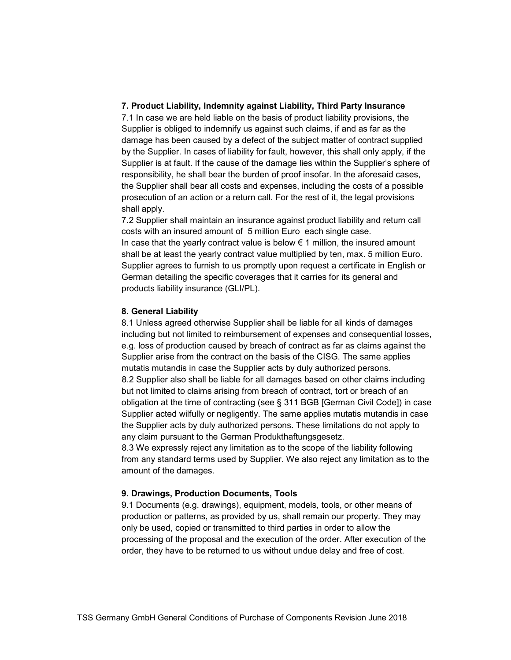### 7. Product Liability, Indemnity against Liability, Third Party Insurance

7.1 In case we are held liable on the basis of product liability provisions, the Supplier is obliged to indemnify us against such claims, if and as far as the damage has been caused by a defect of the subject matter of contract supplied by the Supplier. In cases of liability for fault, however, this shall only apply, if the Supplier is at fault. If the cause of the damage lies within the Supplier's sphere of responsibility, he shall bear the burden of proof insofar. In the aforesaid cases, the Supplier shall bear all costs and expenses, including the costs of a possible prosecution of an action or a return call. For the rest of it, the legal provisions shall apply.

7.2 Supplier shall maintain an insurance against product liability and return call costs with an insured amount of 5 million Euro each single case. In case that the yearly contract value is below  $\epsilon$  1 million, the insured amount shall be at least the yearly contract value multiplied by ten, max. 5 million Euro. Supplier agrees to furnish to us promptly upon request a certificate in English or German detailing the specific coverages that it carries for its general and products liability insurance (GLI/PL).

#### 8. General Liability

8.1 Unless agreed otherwise Supplier shall be liable for all kinds of damages including but not limited to reimbursement of expenses and consequential losses, e.g. loss of production caused by breach of contract as far as claims against the Supplier arise from the contract on the basis of the CISG. The same applies mutatis mutandis in case the Supplier acts by duly authorized persons. 8.2 Supplier also shall be liable for all damages based on other claims including but not limited to claims arising from breach of contract, tort or breach of an obligation at the time of contracting (see § 311 BGB [German Civil Code]) in case Supplier acted wilfully or negligently. The same applies mutatis mutandis in case the Supplier acts by duly authorized persons. These limitations do not apply to any claim pursuant to the German Produkthaftungsgesetz.

8.3 We expressly reject any limitation as to the scope of the liability following from any standard terms used by Supplier. We also reject any limitation as to the amount of the damages.

#### 9. Drawings, Production Documents, Tools

9.1 Documents (e.g. drawings), equipment, models, tools, or other means of production or patterns, as provided by us, shall remain our property. They may only be used, copied or transmitted to third parties in order to allow the processing of the proposal and the execution of the order. After execution of the order, they have to be returned to us without undue delay and free of cost.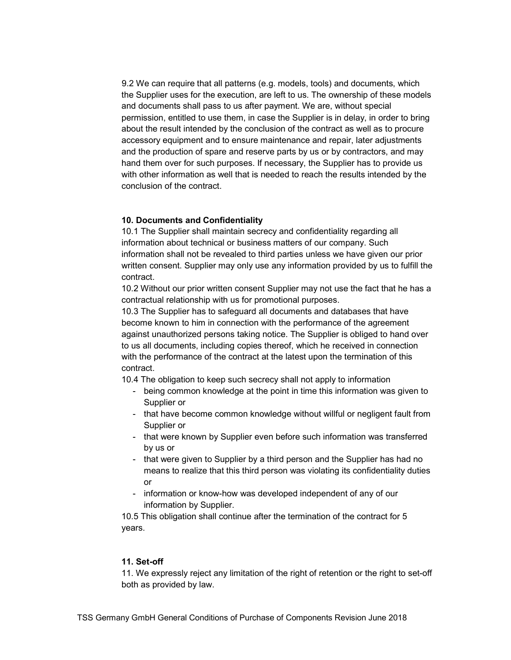9.2 We can require that all patterns (e.g. models, tools) and documents, which the Supplier uses for the execution, are left to us. The ownership of these models and documents shall pass to us after payment. We are, without special permission, entitled to use them, in case the Supplier is in delay, in order to bring about the result intended by the conclusion of the contract as well as to procure accessory equipment and to ensure maintenance and repair, later adjustments and the production of spare and reserve parts by us or by contractors, and may hand them over for such purposes. If necessary, the Supplier has to provide us with other information as well that is needed to reach the results intended by the conclusion of the contract.

### 10. Documents and Confidentiality

10.1 The Supplier shall maintain secrecy and confidentiality regarding all information about technical or business matters of our company. Such information shall not be revealed to third parties unless we have given our prior written consent. Supplier may only use any information provided by us to fulfill the contract.

 10.2 Without our prior written consent Supplier may not use the fact that he has a contractual relationship with us for promotional purposes.

 10.3 The Supplier has to safeguard all documents and databases that have become known to him in connection with the performance of the agreement against unauthorized persons taking notice. The Supplier is obliged to hand over to us all documents, including copies thereof, which he received in connection with the performance of the contract at the latest upon the termination of this contract.

10.4 The obligation to keep such secrecy shall not apply to information

- being common knowledge at the point in time this information was given to Supplier or
- that have become common knowledge without willful or negligent fault from Supplier or
- that were known by Supplier even before such information was transferred by us or
- that were given to Supplier by a third person and the Supplier has had no means to realize that this third person was violating its confidentiality duties or
- information or know-how was developed independent of any of our information by Supplier.

 10.5 This obligation shall continue after the termination of the contract for 5 years.

#### 11. Set-off

11. We expressly reject any limitation of the right of retention or the right to set-off both as provided by law.